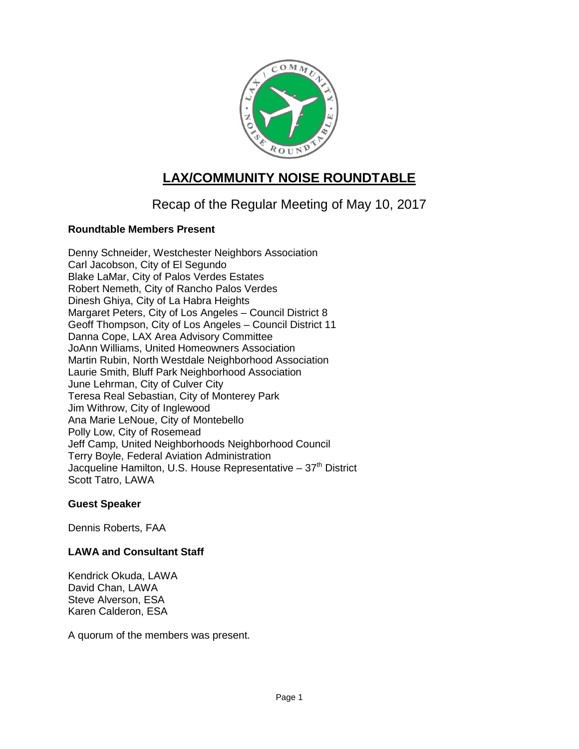

# **LAX/COMMUNITY NOISE ROUNDTABLE**

## Recap of the Regular Meeting of May 10, 2017

## **Roundtable Members Present**

Denny Schneider, Westchester Neighbors Association Carl Jacobson, City of El Segundo Blake LaMar, City of Palos Verdes Estates Robert Nemeth, City of Rancho Palos Verdes Dinesh Ghiya, City of La Habra Heights Margaret Peters, City of Los Angeles – Council District 8 Geoff Thompson, City of Los Angeles – Council District 11 Danna Cope, LAX Area Advisory Committee JoAnn Williams, United Homeowners Association Martin Rubin, North Westdale Neighborhood Association Laurie Smith, Bluff Park Neighborhood Association June Lehrman, City of Culver City Teresa Real Sebastian, City of Monterey Park Jim Withrow, City of Inglewood Ana Marie LeNoue, City of Montebello Polly Low, City of Rosemead Jeff Camp, United Neighborhoods Neighborhood Council Terry Boyle, Federal Aviation Administration Jacqueline Hamilton, U.S. House Representative  $-37<sup>th</sup>$  District Scott Tatro, LAWA

#### **Guest Speaker**

Dennis Roberts, FAA

## **LAWA and Consultant Staff**

Kendrick Okuda, LAWA David Chan, LAWA Steve Alverson, ESA Karen Calderon, ESA

A quorum of the members was present.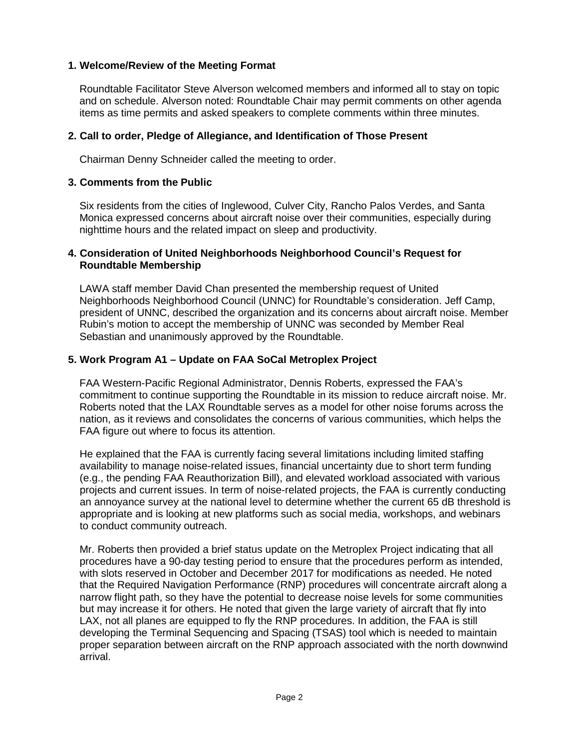#### **1. Welcome/Review of the Meeting Format**

Roundtable Facilitator Steve Alverson welcomed members and informed all to stay on topic and on schedule. Alverson noted: Roundtable Chair may permit comments on other agenda items as time permits and asked speakers to complete comments within three minutes.

#### **2. Call to order, Pledge of Allegiance, and Identification of Those Present**

Chairman Denny Schneider called the meeting to order.

#### **3. Comments from the Public**

Six residents from the cities of Inglewood, Culver City, Rancho Palos Verdes, and Santa Monica expressed concerns about aircraft noise over their communities, especially during nighttime hours and the related impact on sleep and productivity.

#### **4. Consideration of United Neighborhoods Neighborhood Council's Request for Roundtable Membership**

LAWA staff member David Chan presented the membership request of United Neighborhoods Neighborhood Council (UNNC) for Roundtable's consideration. Jeff Camp, president of UNNC, described the organization and its concerns about aircraft noise. Member Rubin's motion to accept the membership of UNNC was seconded by Member Real Sebastian and unanimously approved by the Roundtable.

### **5. Work Program A1 – Update on FAA SoCal Metroplex Project**

FAA Western-Pacific Regional Administrator, Dennis Roberts, expressed the FAA's commitment to continue supporting the Roundtable in its mission to reduce aircraft noise. Mr. Roberts noted that the LAX Roundtable serves as a model for other noise forums across the nation, as it reviews and consolidates the concerns of various communities, which helps the FAA figure out where to focus its attention.

He explained that the FAA is currently facing several limitations including limited staffing availability to manage noise-related issues, financial uncertainty due to short term funding (e.g., the pending FAA Reauthorization Bill), and elevated workload associated with various projects and current issues. In term of noise-related projects, the FAA is currently conducting an annoyance survey at the national level to determine whether the current 65 dB threshold is appropriate and is looking at new platforms such as social media, workshops, and webinars to conduct community outreach.

Mr. Roberts then provided a brief status update on the Metroplex Project indicating that all procedures have a 90-day testing period to ensure that the procedures perform as intended, with slots reserved in October and December 2017 for modifications as needed. He noted that the Required Navigation Performance (RNP) procedures will concentrate aircraft along a narrow flight path, so they have the potential to decrease noise levels for some communities but may increase it for others. He noted that given the large variety of aircraft that fly into LAX, not all planes are equipped to fly the RNP procedures. In addition, the FAA is still developing the Terminal Sequencing and Spacing (TSAS) tool which is needed to maintain proper separation between aircraft on the RNP approach associated with the north downwind arrival.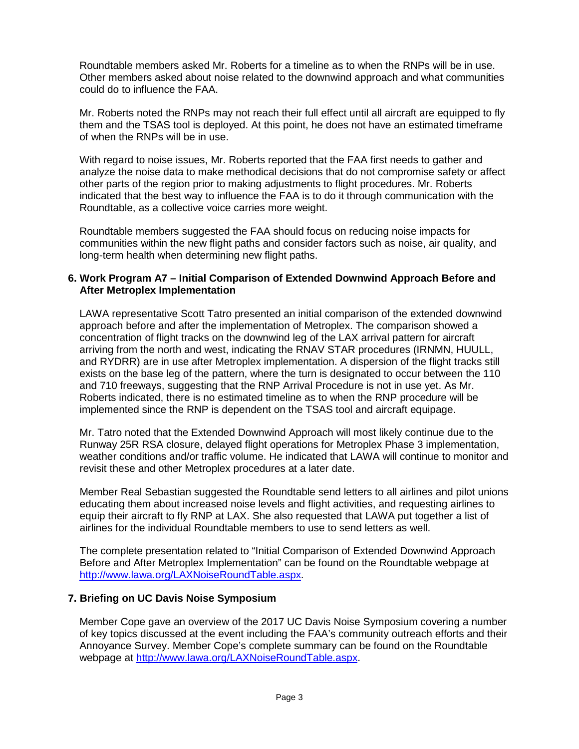Roundtable members asked Mr. Roberts for a timeline as to when the RNPs will be in use. Other members asked about noise related to the downwind approach and what communities could do to influence the FAA.

Mr. Roberts noted the RNPs may not reach their full effect until all aircraft are equipped to fly them and the TSAS tool is deployed. At this point, he does not have an estimated timeframe of when the RNPs will be in use.

With regard to noise issues, Mr. Roberts reported that the FAA first needs to gather and analyze the noise data to make methodical decisions that do not compromise safety or affect other parts of the region prior to making adjustments to flight procedures. Mr. Roberts indicated that the best way to influence the FAA is to do it through communication with the Roundtable, as a collective voice carries more weight.

Roundtable members suggested the FAA should focus on reducing noise impacts for communities within the new flight paths and consider factors such as noise, air quality, and long-term health when determining new flight paths.

#### **6. Work Program A7 – Initial Comparison of Extended Downwind Approach Before and After Metroplex Implementation**

LAWA representative Scott Tatro presented an initial comparison of the extended downwind approach before and after the implementation of Metroplex. The comparison showed a concentration of flight tracks on the downwind leg of the LAX arrival pattern for aircraft arriving from the north and west, indicating the RNAV STAR procedures (IRNMN, HUULL, and RYDRR) are in use after Metroplex implementation. A dispersion of the flight tracks still exists on the base leg of the pattern, where the turn is designated to occur between the 110 and 710 freeways, suggesting that the RNP Arrival Procedure is not in use yet. As Mr. Roberts indicated, there is no estimated timeline as to when the RNP procedure will be implemented since the RNP is dependent on the TSAS tool and aircraft equipage.

Mr. Tatro noted that the Extended Downwind Approach will most likely continue due to the Runway 25R RSA closure, delayed flight operations for Metroplex Phase 3 implementation, weather conditions and/or traffic volume. He indicated that LAWA will continue to monitor and revisit these and other Metroplex procedures at a later date.

Member Real Sebastian suggested the Roundtable send letters to all airlines and pilot unions educating them about increased noise levels and flight activities, and requesting airlines to equip their aircraft to fly RNP at LAX. She also requested that LAWA put together a list of airlines for the individual Roundtable members to use to send letters as well.

The complete presentation related to "Initial Comparison of Extended Downwind Approach Before and After Metroplex Implementation" can be found on the Roundtable webpage at [http://www.lawa.org/LAXNoiseRoundTable.aspx.](http://www.lawa.org/LAXNoiseRoundTable.aspx)

#### **7. Briefing on UC Davis Noise Symposium**

Member Cope gave an overview of the 2017 UC Davis Noise Symposium covering a number of key topics discussed at the event including the FAA's community outreach efforts and their Annoyance Survey. Member Cope's complete summary can be found on the Roundtable webpage at [http://www.lawa.org/LAXNoiseRoundTable.aspx.](http://www.lawa.org/LAXNoiseRoundTable.aspx)